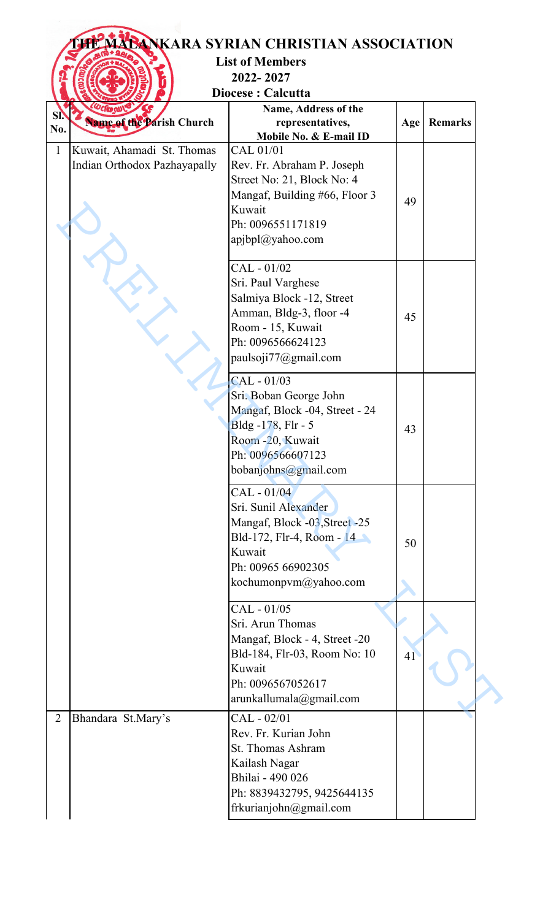|                |                                                            | <b>List of Members</b><br>2022-2027<br>Diocese: Calcutta                                                                                                         |     |                |
|----------------|------------------------------------------------------------|------------------------------------------------------------------------------------------------------------------------------------------------------------------|-----|----------------|
| SI.<br>No.     | <b>Anne of the Parish Church</b>                           | Name, Address of the<br>representatives,<br>Mobile No. & E-mail ID                                                                                               | Age | <b>Remarks</b> |
| $\mathbf{1}$   | Kuwait, Ahamadi St. Thomas<br>Indian Orthodox Pazhayapally | CAL 01/01<br>Rev. Fr. Abraham P. Joseph<br>Street No: 21, Block No: 4<br>Mangaf, Building #66, Floor 3<br>Kuwait<br>Ph: 0096551171819<br>apjbpl@yahoo.com        | 49  |                |
|                |                                                            | CAL - 01/02<br>Sri. Paul Varghese<br>Salmiya Block -12, Street<br>Amman, Bldg-3, floor -4<br>Room - 15, Kuwait<br>Ph: 0096566624123<br>paulsoji77@gmail.com      | 45  |                |
|                |                                                            | $CAL - 01/03$<br>Sri. Boban George John<br>Mangaf, Block -04, Street - 24<br>Bldg -178, Flr - 5<br>Room -20, Kuwait<br>Ph: 0096566607123<br>bobanjohns@gmail.com | 43  |                |
|                |                                                            | CAL - 01/04<br>Sri. Sunil Alexander<br>Mangaf, Block -03, Street -25<br>Bld-172, Flr-4, Room - 14<br>Kuwait<br>Ph: 00965 66902305<br>kochumonpvm@yahoo.com       | 50  |                |
|                |                                                            | CAL - 01/05<br>Sri. Arun Thomas<br>Mangaf, Block - 4, Street -20<br>Bld-184, Flr-03, Room No: 10<br>Kuwait<br>Ph: 0096567052617<br>arunkallumala@gmail.com       | 41  |                |
| $\overline{2}$ | Bhandara St.Mary's                                         | CAL - 02/01<br>Rev. Fr. Kurian John<br>St. Thomas Ashram<br>Kailash Nagar<br>Bhilai - 490 026<br>Ph: 8839432795, 9425644135<br>frkurianjohn@gmail.com            |     |                |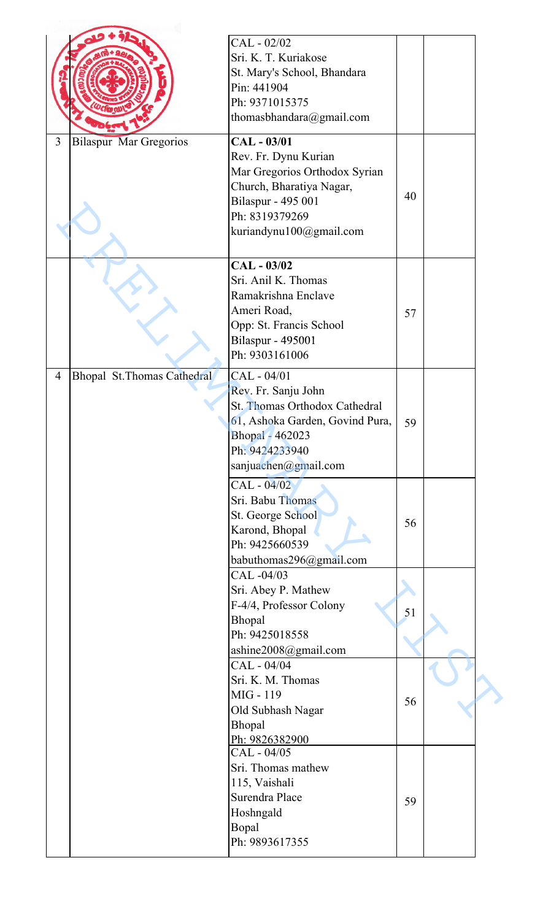|                |                               | CAL - 02/02                     |    |  |
|----------------|-------------------------------|---------------------------------|----|--|
|                |                               | Sri. K. T. Kuriakose            |    |  |
|                |                               |                                 |    |  |
|                |                               | St. Mary's School, Bhandara     |    |  |
|                |                               | Pin: 441904                     |    |  |
|                |                               | Ph: 9371015375                  |    |  |
|                |                               | thomasbhandara@gmail.com        |    |  |
| $\overline{3}$ | <b>Bilaspur Mar Gregorios</b> | CAL - 03/01                     |    |  |
|                |                               | Rev. Fr. Dynu Kurian            |    |  |
|                |                               | Mar Gregorios Orthodox Syrian   |    |  |
|                |                               | Church, Bharatiya Nagar,        |    |  |
|                |                               | Bilaspur - 495 001              | 40 |  |
|                |                               | Ph: 8319379269                  |    |  |
|                |                               | kuriandynu100@gmail.com         |    |  |
|                |                               |                                 |    |  |
|                |                               | CAL - 03/02                     |    |  |
|                |                               | Sri. Anil K. Thomas             |    |  |
|                |                               | Ramakrishna Enclave             |    |  |
|                |                               |                                 |    |  |
|                |                               | Ameri Road,                     | 57 |  |
|                |                               | Opp: St. Francis School         |    |  |
|                |                               | <b>Bilaspur - 495001</b>        |    |  |
|                |                               | Ph: 9303161006                  |    |  |
| 4              | Bhopal St. Thomas Cathedral   | CAL - 04/01                     |    |  |
|                |                               | Rev. Fr. Sanju John             |    |  |
|                |                               | St. Thomas Orthodox Cathedral   |    |  |
|                |                               | 61, Ashoka Garden, Govind Pura, | 59 |  |
|                |                               | Bhopal - 462023                 |    |  |
|                |                               | Ph: 9424233940                  |    |  |
|                |                               | sanjuachen@gmail.com            |    |  |
|                |                               | CAL - 04/02                     |    |  |
|                |                               | Sri. Babu Thomas                |    |  |
|                |                               | St. George School               |    |  |
|                |                               | Karond, Bhopal                  | 56 |  |
|                |                               | Ph: 9425660539                  |    |  |
|                |                               | babuthomas296@gmail.com         |    |  |
|                |                               | CAL-04/03                       |    |  |
|                |                               | Sri. Abey P. Mathew             |    |  |
|                |                               | F-4/4, Professor Colony         |    |  |
|                |                               | Bhopal                          | 51 |  |
|                |                               | Ph: 9425018558                  |    |  |
|                |                               | ashine2008@gmail.com            |    |  |
|                |                               | CAL - 04/04                     |    |  |
|                |                               | Sri. K. M. Thomas               |    |  |
|                |                               | MIG - 119                       |    |  |
|                |                               | Old Subhash Nagar               | 56 |  |
|                |                               | Bhopal                          |    |  |
|                |                               | Ph: 9826382900                  |    |  |
|                |                               | CAL - 04/05                     |    |  |
|                |                               | Sri. Thomas mathew              |    |  |
|                |                               | 115, Vaishali                   |    |  |
|                |                               | Surendra Place                  | 59 |  |
|                |                               | Hoshngald                       |    |  |
|                |                               | Bopal                           |    |  |
|                |                               | Ph: 9893617355                  |    |  |
|                |                               |                                 |    |  |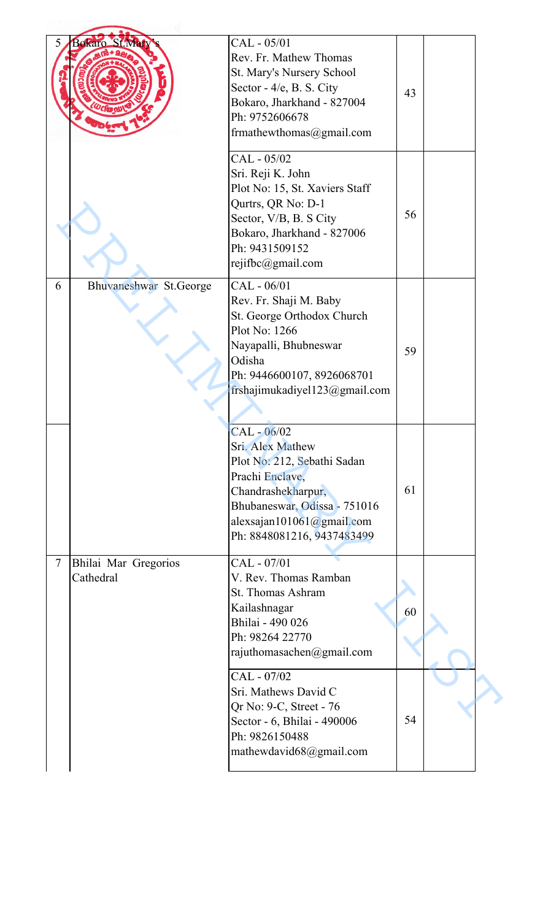| 5 <sub>1</sub>           | Bokaro St.Mar                     | CAL - 05/01<br>Rev. Fr. Mathew Thomas<br>St. Mary's Nursery School<br>Sector - 4/e, B. S. City<br>Bokaro, Jharkhand - 827004<br>Ph: 9752606678<br>frmathewthomas@gmail.com                           | 43 |  |
|--------------------------|-----------------------------------|------------------------------------------------------------------------------------------------------------------------------------------------------------------------------------------------------|----|--|
|                          |                                   | CAL - 05/02<br>Sri. Reji K. John<br>Plot No: 15, St. Xaviers Staff<br>Qurtrs, QR No: D-1<br>Sector, V/B, B. S City<br>Bokaro, Jharkhand - 827006<br>Ph: 9431509152<br>rejifbc@gmail.com              | 56 |  |
| 6                        | Bhuvaneshwar St.George            | CAL - 06/01<br>Rev. Fr. Shaji M. Baby<br>St. George Orthodox Church<br>Plot No: 1266<br>Nayapalli, Bhubneswar<br>Odisha<br>Ph: 9446600107, 8926068701<br>frshajimukadiyel $123$ @gmail.com           | 59 |  |
|                          |                                   | $CAL - 06/02$<br>Sri. Alex Mathew<br>Plot No: 212, Sebathi Sadan<br>Prachi Enclave,<br>Chandrashekharpur,<br>Bhubaneswar, Odissa - 751016<br>alexsajan101061@gmail.com<br>Ph: 8848081216, 9437483499 | 61 |  |
| $\overline{\mathcal{L}}$ | Bhilai Mar Gregorios<br>Cathedral | CAL - 07/01<br>V. Rev. Thomas Ramban<br>St. Thomas Ashram<br>Kailashnagar<br>Bhilai - 490 026<br>Ph: 98264 22770<br>rajuthomasachen@gmail.com                                                        | 60 |  |
|                          |                                   | CAL - 07/02<br>Sri. Mathews David C<br>Qr No: 9-C, Street - 76<br>Sector - 6, Bhilai - 490006<br>Ph: 9826150488<br>mathewdavid68@gmail.com                                                           | 54 |  |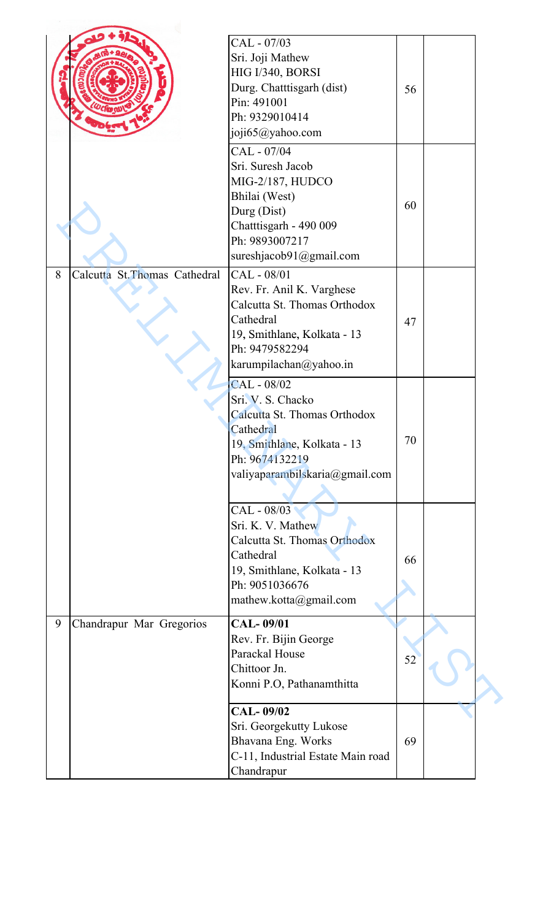|   |                               | CAL - 07/03<br>Sri. Joji Mathew<br>HIG I/340, BORSI<br>Durg. Chatttisgarh (dist)<br>Pin: 491001<br>Ph: 9329010414<br>joji65@yahoo.com                            | 56 |  |
|---|-------------------------------|------------------------------------------------------------------------------------------------------------------------------------------------------------------|----|--|
|   |                               | CAL - 07/04<br>Sri. Suresh Jacob<br>MIG-2/187, HUDCO<br>Bhilai (West)<br>Durg (Dist)<br>Chatttisgarh - 490 009<br>Ph: 9893007217<br>sureshjacob91@gmail.com      | 60 |  |
| 8 | Calcutta St. Thomas Cathedral | CAL - 08/01<br>Rev. Fr. Anil K. Varghese<br>Calcutta St. Thomas Orthodox<br>Cathedral<br>19, Smithlane, Kolkata - 13<br>Ph: 9479582294<br>karumpilachan@yahoo.in | 47 |  |
|   |                               | CAL - 08/02<br>Sri. V. S. Chacko<br>Calcutta St. Thomas Orthodox<br>Cathedral<br>19, Smithlane, Kolkata - 13<br>Ph: 9674132219<br>valiyaparambilskaria@gmail.com | 70 |  |
|   |                               | CAL - 08/03<br>Sri. K. V. Mathew<br>Calcutta St. Thomas Orthodox<br>Cathedral<br>19, Smithlane, Kolkata - 13<br>Ph: 9051036676<br>mathew.kotta@gmail.com         | 66 |  |
| 9 | Chandrapur Mar Gregorios      | CAL-09/01<br>Rev. Fr. Bijin George<br>Parackal House<br>Chittoor Jn.<br>Konni P.O, Pathanamthitta                                                                | 52 |  |
|   |                               | <b>CAL-09/02</b><br>Sri. Georgekutty Lukose<br>Bhavana Eng. Works<br>C-11, Industrial Estate Main road<br>Chandrapur                                             | 69 |  |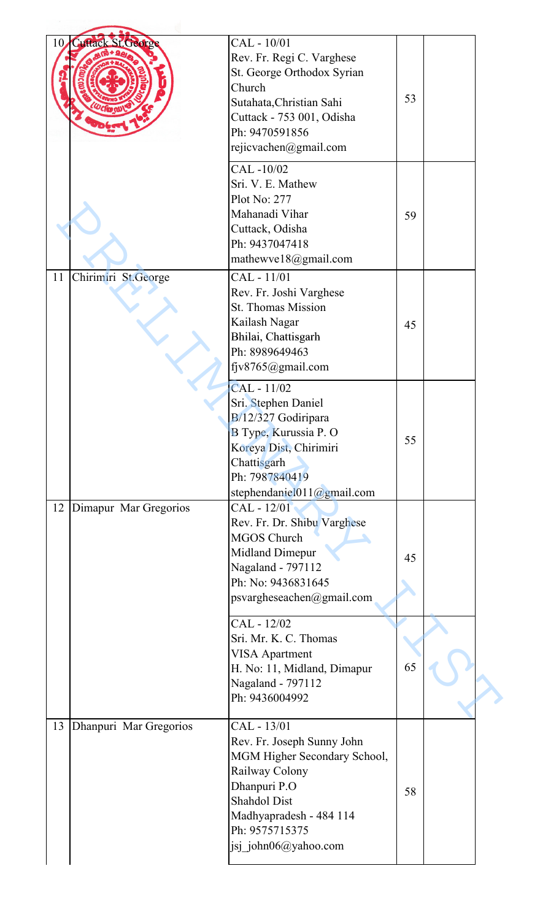| 10 | <b>Cuttack St. Georg</b> | CAL - 10/01<br>Rev. Fr. Regi C. Varghese<br>St. George Orthodox Syrian                                                                                                                                  |    |  |
|----|--------------------------|---------------------------------------------------------------------------------------------------------------------------------------------------------------------------------------------------------|----|--|
|    |                          | Church<br>Sutahata, Christian Sahi<br>Cuttack - 753 001, Odisha<br>Ph: 9470591856                                                                                                                       | 53 |  |
|    |                          | rejicvachen@gmail.com                                                                                                                                                                                   |    |  |
|    |                          | CAL-10/02<br>Sri. V. E. Mathew<br>Plot No: $277$<br>Mahanadi Vihar<br>Cuttack, Odisha<br>Ph: 9437047418                                                                                                 | 59 |  |
|    |                          | mathewve18@gmail.com                                                                                                                                                                                    |    |  |
| 11 | Chirimiri St.George      | CAL - 11/01<br>Rev. Fr. Joshi Varghese<br><b>St. Thomas Mission</b><br>Kailash Nagar<br>Bhilai, Chattisgarh<br>Ph: 8989649463<br>fjv8765@gmail.com                                                      | 45 |  |
|    |                          | CAL - 11/02<br>Sri. Stephen Daniel<br>B/12/327 Godiripara<br>B Type, Kurussia P. O<br>Koreya Dist, Chirimiri<br>Chattisgarh<br>Ph: 7987840419<br>stephendaniel $011$ ( $@g$ mail.com                    | 55 |  |
|    | 12 Dimapur Mar Gregorios | CAL - 12/01<br>Rev. Fr. Dr. Shibu Varghese<br><b>MGOS Church</b><br>Midland Dimepur<br>Nagaland - 797112<br>Ph: No: 9436831645<br>psvargheseachen@gmail.com                                             | 45 |  |
|    |                          | CAL - 12/02<br>Sri. Mr. K. C. Thomas<br><b>VISA Apartment</b><br>H. No: 11, Midland, Dimapur<br>Nagaland - 797112<br>Ph: 9436004992                                                                     | 65 |  |
| 13 | Dhanpuri Mar Gregorios   | CAL - 13/01<br>Rev. Fr. Joseph Sunny John<br>MGM Higher Secondary School,<br>Railway Colony<br>Dhanpuri P.O<br><b>Shahdol Dist</b><br>Madhyapradesh - 484 114<br>Ph: 9575715375<br>jsj_john06@yahoo.com | 58 |  |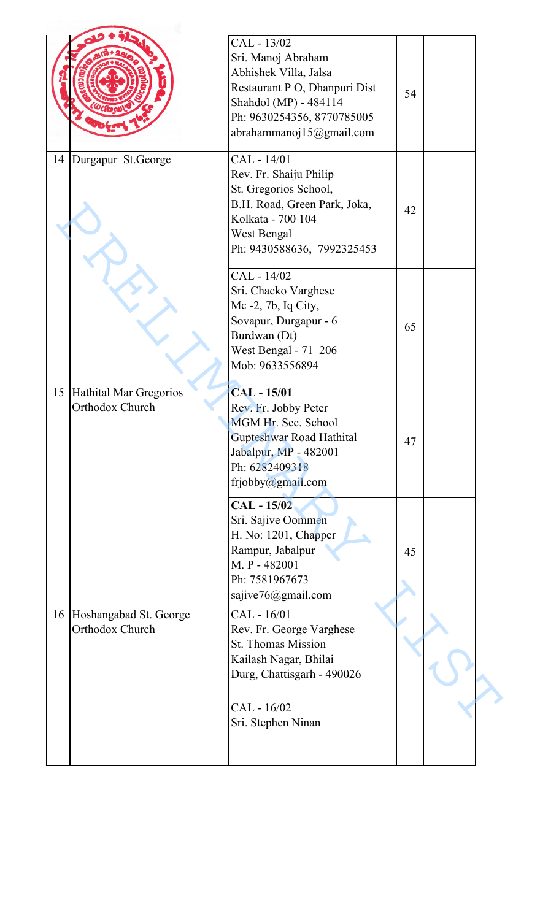|    |                                           | CAL - 13/02<br>Sri. Manoj Abraham<br>Abhishek Villa, Jalsa<br>Restaurant P O, Dhanpuri Dist<br>Shahdol (MP) - 484114<br>Ph: 9630254356, 8770785005<br>abrahammanoj15@gmail.com | 54 |  |
|----|-------------------------------------------|--------------------------------------------------------------------------------------------------------------------------------------------------------------------------------|----|--|
| 14 | Durgapur St.George                        | CAL - 14/01<br>Rev. Fr. Shaiju Philip<br>St. Gregorios School,<br>B.H. Road, Green Park, Joka,<br>Kolkata - 700 104<br>West Bengal<br>Ph: 9430588636, 7992325453               | 42 |  |
|    |                                           | CAL - 14/02<br>Sri. Chacko Varghese<br>Mc -2, 7b, Iq City,<br>Sovapur, Durgapur - 6<br>Burdwan (Dt)<br>West Bengal - 71 206<br>Mob: 9633556894                                 | 65 |  |
| 15 | Hathital Mar Gregorios<br>Orthodox Church | <b>CAL-15/01</b><br>Rev. Fr. Jobby Peter<br>MGM Hr. Sec. School<br>Gupteshwar Road Hathital<br>Jabalpur, MP - 482001<br>Ph: 6282409318<br>frjobby@gmail.com                    | 47 |  |
|    |                                           | <b>CAL-15/02</b><br>Sri. Sajive Oommen<br>H. No: 1201, Chapper<br>Rampur, Jabalpur<br>M. P - 482001<br>Ph: 7581967673<br>sajive76@gmail.com                                    | 45 |  |
| 16 | Hoshangabad St. George<br>Orthodox Church | CAL - 16/01<br>Rev. Fr. George Varghese<br><b>St. Thomas Mission</b><br>Kailash Nagar, Bhilai<br>Durg, Chattisgarh - 490026                                                    |    |  |
|    |                                           | CAL - 16/02<br>Sri. Stephen Ninan                                                                                                                                              |    |  |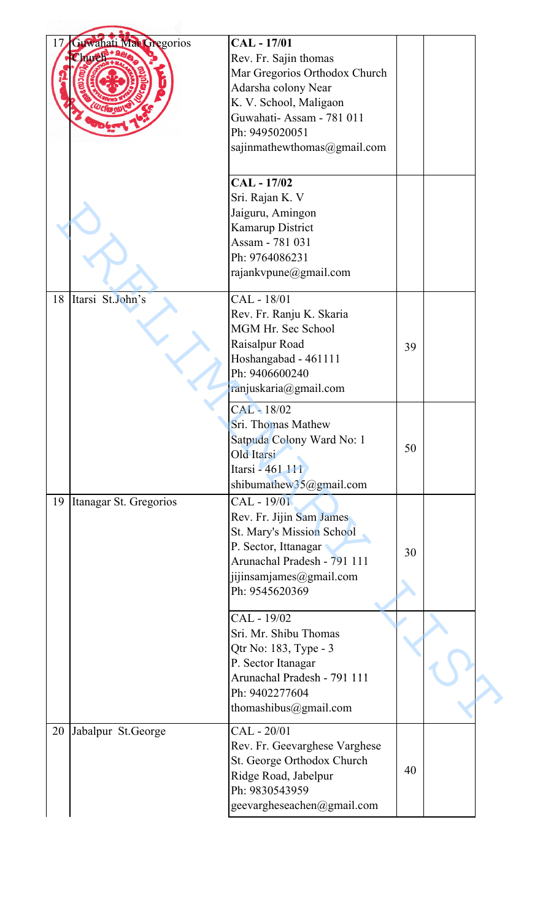| 17 | Guwahati Mar Gregorios | <b>CAL-17/01</b>                                    |    |  |
|----|------------------------|-----------------------------------------------------|----|--|
|    | Church                 | Rev. Fr. Sajin thomas                               |    |  |
|    |                        | Mar Gregorios Orthodox Church                       |    |  |
|    |                        | Adarsha colony Near                                 |    |  |
|    |                        |                                                     |    |  |
|    |                        | K. V. School, Maligaon                              |    |  |
|    |                        | Guwahati-Assam - 781 011                            |    |  |
|    |                        | Ph: 9495020051                                      |    |  |
|    |                        | sajinmathewthomas@gmail.com                         |    |  |
|    |                        |                                                     |    |  |
|    |                        | CAL - 17/02                                         |    |  |
|    |                        | Sri. Rajan K. V                                     |    |  |
|    |                        | Jaiguru, Amingon                                    |    |  |
|    |                        | Kamarup District                                    |    |  |
|    |                        | Assam - 781 031                                     |    |  |
|    |                        | Ph: 9764086231                                      |    |  |
|    |                        | rajankvpune@gmail.com                               |    |  |
|    |                        |                                                     |    |  |
| 18 | Itarsi St.John's       | CAL - 18/01                                         |    |  |
|    |                        | Rev. Fr. Ranju K. Skaria                            |    |  |
|    |                        | MGM Hr. Sec School                                  |    |  |
|    |                        | Raisalpur Road                                      | 39 |  |
|    |                        | Hoshangabad - 461111                                |    |  |
|    |                        | Ph: 9406600240                                      |    |  |
|    |                        | ranjuskaria@gmail.com                               |    |  |
|    |                        | CAL-18/02                                           |    |  |
|    |                        | Sri. Thomas Mathew                                  |    |  |
|    |                        | Satpuda Colony Ward No: 1                           |    |  |
|    |                        | Old Itarsi                                          | 50 |  |
|    |                        | Itarsi - 461 111                                    |    |  |
|    |                        | shibumathew35@gmail.com                             |    |  |
| 19 | Itanagar St. Gregorios | CAL - 19/01                                         |    |  |
|    |                        | Rev. Fr. Jijin Sam James                            |    |  |
|    |                        | St. Mary's Mission School                           |    |  |
|    |                        |                                                     |    |  |
|    |                        | P. Sector, Ittanagar<br>Arunachal Pradesh - 791 111 | 30 |  |
|    |                        |                                                     |    |  |
|    |                        | jijinsamjames@gmail.com                             |    |  |
|    |                        | Ph: 9545620369                                      |    |  |
|    |                        | CAL - 19/02                                         |    |  |
|    |                        | Sri. Mr. Shibu Thomas                               |    |  |
|    |                        | Qtr No: 183, Type - 3                               |    |  |
|    |                        | P. Sector Itanagar                                  |    |  |
|    |                        | Arunachal Pradesh - 791 111                         |    |  |
|    |                        | Ph: 9402277604                                      |    |  |
|    |                        | thomashibus@gmail.com                               |    |  |
|    |                        |                                                     |    |  |
| 20 | Jabalpur St.George     | CAL - 20/01                                         |    |  |
|    |                        | Rev. Fr. Geevarghese Varghese                       |    |  |
|    |                        | St. George Orthodox Church                          | 40 |  |
|    |                        | Ridge Road, Jabelpur                                |    |  |
|    |                        | Ph: 9830543959                                      |    |  |
|    |                        | geevargheseachen@gmail.com                          |    |  |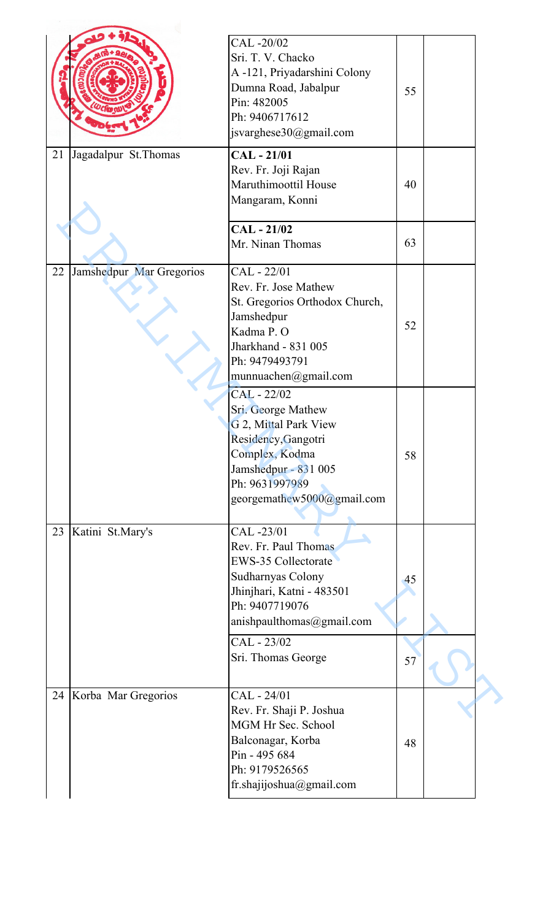|    |                          | CAL-20/02                      |    |  |
|----|--------------------------|--------------------------------|----|--|
|    |                          | Sri. T. V. Chacko              |    |  |
|    |                          | A -121, Priyadarshini Colony   |    |  |
|    |                          | Dumna Road, Jabalpur           | 55 |  |
|    |                          | Pin: 482005                    |    |  |
|    |                          | Ph: 9406717612                 |    |  |
|    |                          | jsvarghese30@gmail.com         |    |  |
| 21 | Jagadalpur St. Thomas    | $CAL - 21/01$                  |    |  |
|    |                          | Rev. Fr. Joji Rajan            |    |  |
|    |                          | Maruthimoottil House           | 40 |  |
|    |                          | Mangaram, Konni                |    |  |
|    |                          | $CAL - 21/02$                  |    |  |
|    |                          | Mr. Ninan Thomas               | 63 |  |
|    |                          |                                |    |  |
| 22 | Jamshedpur Mar Gregorios | CAL - 22/01                    |    |  |
|    |                          | Rev. Fr. Jose Mathew           |    |  |
|    |                          | St. Gregorios Orthodox Church, |    |  |
|    |                          | Jamshedpur                     | 52 |  |
|    |                          | Kadma P.O                      |    |  |
|    |                          | Jharkhand - 831 005            |    |  |
|    |                          | Ph: 9479493791                 |    |  |
|    |                          | munnuachen@gmail.com           |    |  |
|    |                          | CAL - 22/02                    |    |  |
|    |                          | Sri. George Mathew             |    |  |
|    |                          | G 2, Mittal Park View          |    |  |
|    |                          | Residency, Gangotri            |    |  |
|    |                          | Complex, Kodma                 | 58 |  |
|    |                          | Jamshedpur - 831 005           |    |  |
|    |                          | Ph: 9631997989                 |    |  |
|    |                          | georgemathew5000@gmail.com     |    |  |
| 23 |                          | CAL-23/01                      |    |  |
|    | Katini St.Mary's         | Rev. Fr. Paul Thomas           |    |  |
|    |                          | EWS-35 Collectorate            |    |  |
|    |                          | Sudharnyas Colony              |    |  |
|    |                          | Jhinjhari, Katni - 483501      | 45 |  |
|    |                          | Ph: 9407719076                 |    |  |
|    |                          | anishpaulthomas@gmail.com      |    |  |
|    |                          | CAL - 23/02                    |    |  |
|    |                          | Sri. Thomas George             | 57 |  |
|    |                          |                                |    |  |
|    | 24 Korba Mar Gregorios   | CAL - 24/01                    |    |  |
|    |                          | Rev. Fr. Shaji P. Joshua       |    |  |
|    |                          | MGM Hr Sec. School             |    |  |
|    |                          | Balconagar, Korba              | 48 |  |
|    |                          | Pin - 495 684                  |    |  |
|    |                          | Ph: 9179526565                 |    |  |
|    |                          | fr.shajijoshua@gmail.com       |    |  |
|    |                          |                                |    |  |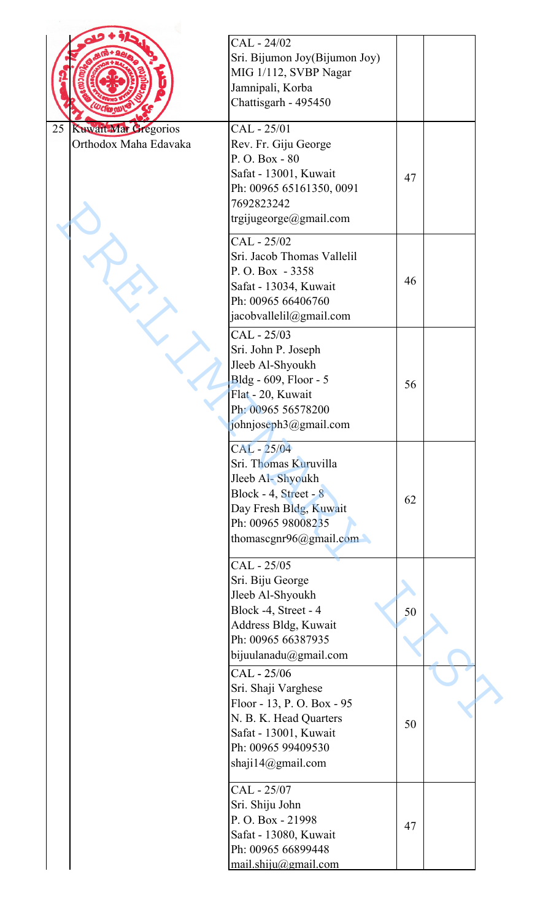|                                   | CAL - 24/02                                 |    |  |
|-----------------------------------|---------------------------------------------|----|--|
|                                   | Sri. Bijumon Joy(Bijumon Joy)               |    |  |
|                                   | MIG 1/112, SVBP Nagar                       |    |  |
|                                   | Jamnipali, Korba                            |    |  |
|                                   | Chattisgarh - 495450                        |    |  |
|                                   |                                             |    |  |
| 25<br><b>Kuwait Mar Gregorios</b> | CAL - 25/01                                 |    |  |
| Orthodox Maha Edavaka             | Rev. Fr. Giju George                        |    |  |
|                                   | P.O. Box - 80                               |    |  |
|                                   | Safat - 13001, Kuwait                       | 47 |  |
|                                   | Ph: 00965 65161350, 0091                    |    |  |
|                                   | 7692823242                                  |    |  |
|                                   | trgijugeorge@gmail.com                      |    |  |
|                                   | CAL - 25/02                                 |    |  |
|                                   | Sri. Jacob Thomas Vallelil                  |    |  |
|                                   | P.O.Box - 3358                              |    |  |
|                                   | Safat - 13034, Kuwait                       | 46 |  |
|                                   | Ph: 00965 66406760                          |    |  |
|                                   | jacobvallelil@gmail.com                     |    |  |
|                                   | CAL - 25/03                                 |    |  |
|                                   | Sri. John P. Joseph                         |    |  |
|                                   | Jleeb Al-Shyoukh                            |    |  |
|                                   | Bldg - 609, Floor - 5                       | 56 |  |
|                                   | Flat - 20, Kuwait                           |    |  |
|                                   | Ph: 00965 56578200                          |    |  |
|                                   | johnjoseph3@gmail.com                       |    |  |
|                                   | CAL - 25/04                                 |    |  |
|                                   | Sri. Thomas Kuruvilla                       |    |  |
|                                   | Jleeb Al-Shyoukh                            |    |  |
|                                   | Block - 4, Street - 8                       |    |  |
|                                   | Day Fresh Bldg, Kuwait                      | 62 |  |
|                                   | Ph: 00965 98008235                          |    |  |
|                                   | thomascgnr96@gmail.com                      |    |  |
|                                   |                                             |    |  |
|                                   | CAL - 25/05                                 |    |  |
|                                   | Sri. Biju George                            |    |  |
|                                   | Jleeb Al-Shyoukh                            |    |  |
|                                   | Block -4, Street - 4                        | 50 |  |
|                                   | Address Bldg, Kuwait                        |    |  |
|                                   | Ph: 00965 66387935                          |    |  |
|                                   | bijuulanadu@gmail.com                       |    |  |
|                                   | CAL - 25/06                                 |    |  |
|                                   | Sri. Shaji Varghese                         |    |  |
|                                   | Floor - 13, P.O. Box - 95                   |    |  |
|                                   | N. B. K. Head Quarters                      | 50 |  |
|                                   | Safat - 13001, Kuwait<br>Ph: 00965 99409530 |    |  |
|                                   | shaji14@gmail.com                           |    |  |
|                                   |                                             |    |  |
|                                   | CAL - 25/07                                 |    |  |
|                                   | Sri. Shiju John                             |    |  |
|                                   | P.O. Box - 21998                            |    |  |
|                                   | Safat - 13080, Kuwait                       | 47 |  |
|                                   | Ph: 00965 66899448                          |    |  |
|                                   | $mail.$ shiju@gmail.com                     |    |  |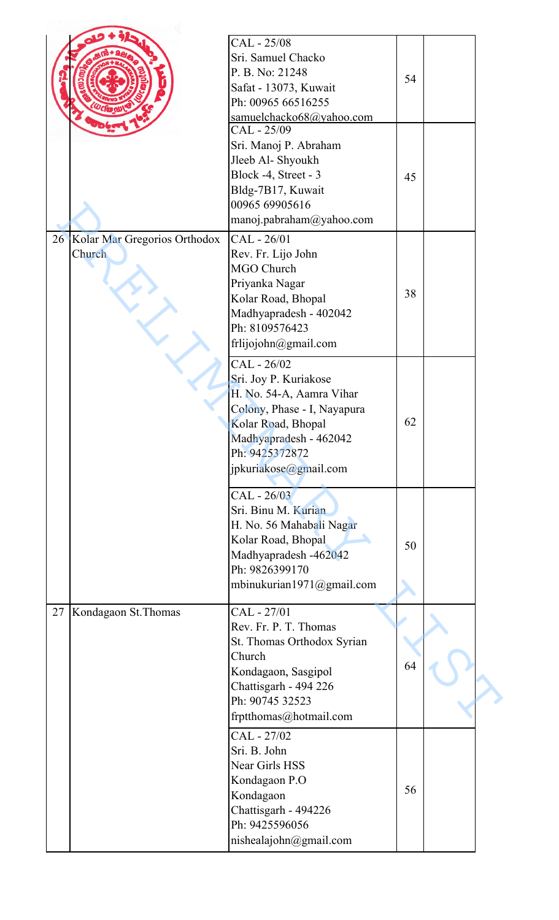|    |                                           | CAL - 25/08<br>Sri. Samuel Chacko<br>P. B. No: 21248<br>Safat - 13073, Kuwait<br>Ph: 00965 66516255<br>samuelchacko68@yahoo.com                                                            | 54 |  |
|----|-------------------------------------------|--------------------------------------------------------------------------------------------------------------------------------------------------------------------------------------------|----|--|
|    |                                           | CAL - 25/09<br>Sri. Manoj P. Abraham<br>Jleeb Al- Shyoukh<br>Block -4, Street - 3<br>Bldg-7B17, Kuwait<br>00965 69905616<br>manoj.pabraham@yahoo.com                                       | 45 |  |
|    | 26 Kolar Mar Gregorios Orthodox<br>Church | CAL - 26/01<br>Rev. Fr. Lijo John<br>MGO Church<br>Priyanka Nagar<br>Kolar Road, Bhopal<br>Madhyapradesh - 402042<br>Ph: 8109576423<br>frlijojohn@gmail.com                                | 38 |  |
|    |                                           | CAL - 26/02<br>Sri. Joy P. Kuriakose<br>H. No. 54-A, Aamra Vihar<br>Colony, Phase - I, Nayapura<br>Kolar Road, Bhopal<br>Madhyapradesh - 462042<br>Ph: 9425372872<br>jpkuriakose@gmail.com | 62 |  |
|    |                                           | CAL - 26/03<br>Sri. Binu M. Kurian<br>H. No. 56 Mahabali Nagar<br>Kolar Road, Bhopal<br>Madhyapradesh -462042<br>Ph: 9826399170<br>mbinukurian1971@gmail.com                               | 50 |  |
| 27 | Kondagaon St. Thomas                      | CAL - 27/01<br>Rev. Fr. P. T. Thomas<br>St. Thomas Orthodox Syrian<br>Church<br>Kondagaon, Sasgipol<br>Chattisgarh - 494 226<br>Ph: 90745 32523<br>frptthomas@hotmail.com                  | 64 |  |
|    |                                           | CAL - 27/02<br>Sri. B. John<br><b>Near Girls HSS</b><br>Kondagaon P.O<br>Kondagaon<br>Chattisgarh - 494226<br>Ph: 9425596056<br>nishealajohn@gmail.com                                     | 56 |  |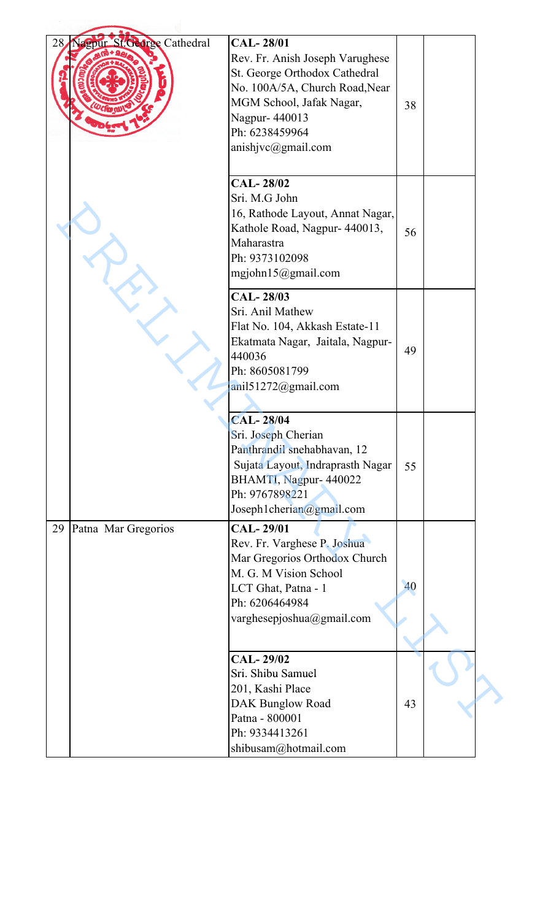| 28 | <b>St. George Cathedral</b><br>agpur | <b>CAL-28/01</b><br>Rev. Fr. Anish Joseph Varughese<br>St. George Orthodox Cathedral<br>No. 100A/5A, Church Road, Near<br>MGM School, Jafak Nagar,<br>Nagpur-440013<br>Ph: 6238459964<br>anishjvc@gmail.com | 38 |  |
|----|--------------------------------------|-------------------------------------------------------------------------------------------------------------------------------------------------------------------------------------------------------------|----|--|
|    |                                      | <b>CAL-28/02</b><br>Sri. M.G John<br>16, Rathode Layout, Annat Nagar,<br>Kathole Road, Nagpur- 440013,<br>Maharastra<br>Ph: 9373102098<br>mgjohn $15@g$ mail.com                                            | 56 |  |
|    |                                      | CAL-28/03<br>Sri. Anil Mathew<br>Flat No. 104, Akkash Estate-11<br>Ekatmata Nagar, Jaitala, Nagpur-<br>440036<br>Ph: 8605081799<br>anil51272@gmail.com                                                      | 49 |  |
|    |                                      | <b>CAL-28/04</b><br>Sri. Joseph Cherian<br>Panthrandil snehabhavan, 12<br>Sujata Layout, Indraprasth Nagar<br>BHAMTI, Nagpur- 440022<br>Ph: 9767898221<br>Joseph1cherian@gmail.com                          | 55 |  |
| 29 | Patna Mar Gregorios                  | <b>CAL-29/01</b><br>Rev. Fr. Varghese P. Joshua<br>Mar Gregorios Orthodox Church<br>M. G. M Vision School<br>LCT Ghat, Patna - 1<br>Ph: 6206464984<br>varghesepjoshua@gmail.com                             | 40 |  |
|    |                                      | <b>CAL-29/02</b><br>Sri. Shibu Samuel<br>201, Kashi Place<br><b>DAK Bunglow Road</b><br>Patna - 800001<br>Ph: 9334413261<br>shibusam@hotmail.com                                                            | 43 |  |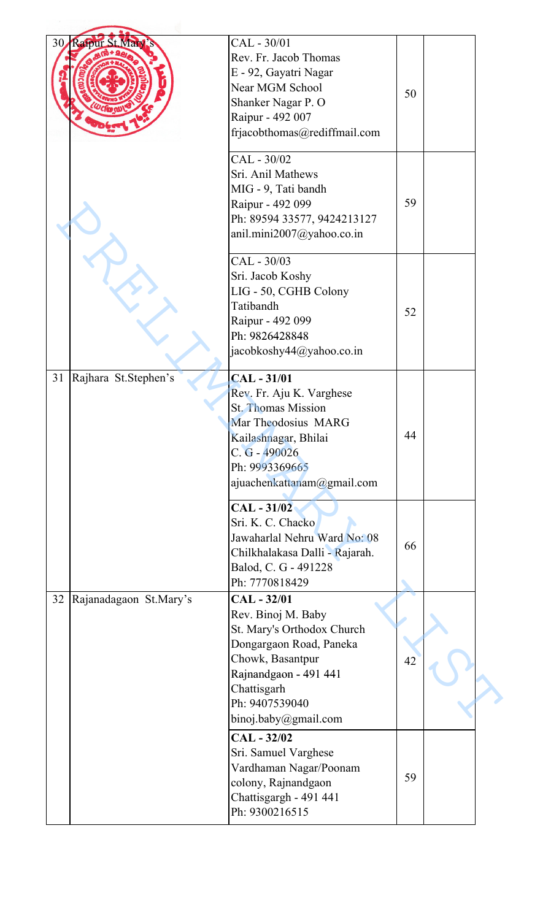| 30 <sub>l</sub> | Raipur St. Mar         | CAL - 30/01                    |    |  |
|-----------------|------------------------|--------------------------------|----|--|
|                 |                        | Rev. Fr. Jacob Thomas          |    |  |
|                 |                        | E - 92, Gayatri Nagar          |    |  |
|                 |                        | Near MGM School                |    |  |
|                 |                        |                                | 50 |  |
|                 |                        | Shanker Nagar P. O             |    |  |
|                 |                        | Raipur - 492 007               |    |  |
|                 |                        | frjacobthomas@rediffmail.com   |    |  |
|                 |                        | CAL - 30/02                    |    |  |
|                 |                        | Sri. Anil Mathews              |    |  |
|                 |                        | MIG - 9, Tati bandh            |    |  |
|                 |                        | Raipur - 492 099               | 59 |  |
|                 |                        | Ph: 89594 33577, 9424213127    |    |  |
|                 |                        | anil.mini2007@yahoo.co.in      |    |  |
|                 |                        | CAL - 30/03                    |    |  |
|                 |                        | Sri. Jacob Koshy               |    |  |
|                 |                        |                                |    |  |
|                 |                        | LIG - 50, CGHB Colony          |    |  |
|                 |                        | Tatibandh                      | 52 |  |
|                 |                        | Raipur - 492 099               |    |  |
|                 |                        | Ph: 9826428848                 |    |  |
|                 |                        | jacobkoshy44@yahoo.co.in       |    |  |
| 31              | Rajhara St.Stephen's   | <b>CAL-31/01</b>               |    |  |
|                 |                        | Rev. Fr. Aju K. Varghese       |    |  |
|                 |                        | <b>St. Thomas Mission</b>      |    |  |
|                 |                        | Mar Theodosius MARG            |    |  |
|                 |                        | Kailashnagar, Bhilai           | 44 |  |
|                 |                        | C. G - 490026                  |    |  |
|                 |                        | Ph: 9993369665                 |    |  |
|                 |                        | ajuachenkattanam@gmail.com     |    |  |
|                 |                        | $CAL - 31/02$                  |    |  |
|                 |                        | Sri. K. C. Chacko              |    |  |
|                 |                        | Jawaharlal Nehru Ward No: 08   |    |  |
|                 |                        | Chilkhalakasa Dalli - Rajarah. | 66 |  |
|                 |                        | Balod, C. G - 491228           |    |  |
|                 |                        | Ph: 7770818429                 |    |  |
|                 |                        |                                |    |  |
| 32              | Rajanadagaon St.Mary's | CAL - 32/01                    |    |  |
|                 |                        | Rev. Binoj M. Baby             |    |  |
|                 |                        | St. Mary's Orthodox Church     |    |  |
|                 |                        | Dongargaon Road, Paneka        |    |  |
|                 |                        | Chowk, Basantpur               | 42 |  |
|                 |                        | Rajnandgaon - 491 441          |    |  |
|                 |                        | Chattisgarh                    |    |  |
|                 |                        | Ph: 9407539040                 |    |  |
|                 |                        | binoj.baby@gmail.com           |    |  |
|                 |                        | CAL - 32/02                    |    |  |
|                 |                        | Sri. Samuel Varghese           |    |  |
|                 |                        | Vardhaman Nagar/Poonam         |    |  |
|                 |                        | colony, Rajnandgaon            | 59 |  |
|                 |                        | Chattisgargh - 491 441         |    |  |
|                 |                        | Ph: 9300216515                 |    |  |
|                 |                        |                                |    |  |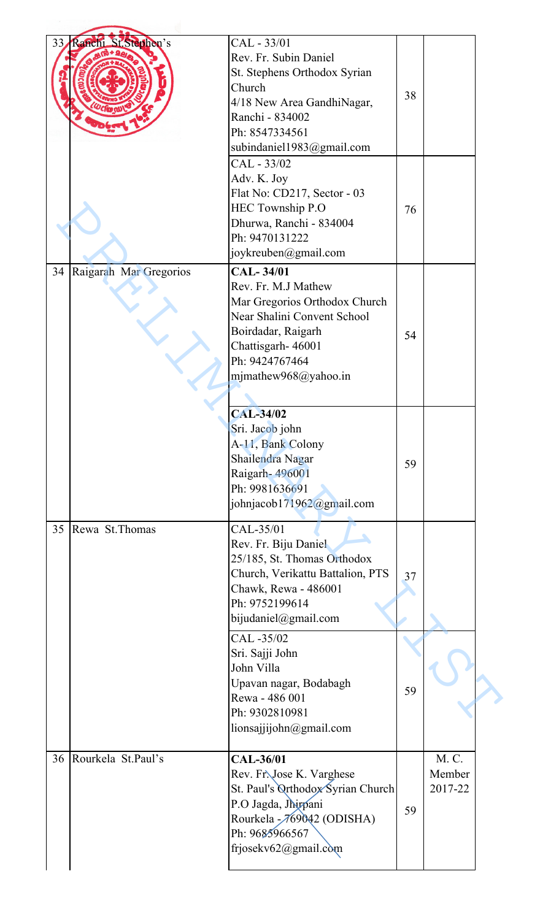| 33 | Ranchi St. Stephen's   | CAL - 33/01<br>Rev. Fr. Subin Daniel<br>St. Stephens Orthodox Syrian<br>Church<br>4/18 New Area GandhiNagar,<br>Ranchi - 834002<br>Ph: 8547334561<br>subindaniel1983@gmail.com               | 38 |                            |  |
|----|------------------------|----------------------------------------------------------------------------------------------------------------------------------------------------------------------------------------------|----|----------------------------|--|
|    |                        | CAL - 33/02<br>Adv. K. Joy<br>Flat No: CD217, Sector - 03<br>HEC Township P.O<br>Dhurwa, Ranchi - 834004<br>Ph: 9470131222<br>joykreuben@gmail.com                                           | 76 |                            |  |
| 34 | Raigarah Mar Gregorios | <b>CAL-34/01</b><br>Rev. Fr. M.J Mathew<br>Mar Gregorios Orthodox Church<br>Near Shalini Convent School<br>Boirdadar, Raigarh<br>Chattisgarh-46001<br>Ph: 9424767464<br>mjmathew968@yahoo.in | 54 |                            |  |
|    |                        | <b>CAL-34/02</b><br>Sri. Jacob john<br>A-11, Bank Colony<br>Shailendra Nagar<br>Raigarh-496001<br>Ph: 9981636691<br>johnjacob171962@gmail.com                                                | 59 |                            |  |
| 35 | Rewa St. Thomas        | CAL-35/01<br>Rev. Fr. Biju Daniel<br>25/185, St. Thomas Orthodox<br>Church, Verikattu Battalion, PTS<br>Chawk, Rewa - 486001<br>Ph: 9752199614<br>bijudaniel@gmail.com<br>CAL -35/02         | 37 |                            |  |
|    |                        | Sri. Sajji John<br>John Villa<br>Upavan nagar, Bodabagh<br>Rewa - 486 001<br>Ph: 9302810981<br>lionsajjijohn@gmail.com                                                                       | 59 |                            |  |
| 36 | Rourkela St.Paul's     | <b>CAL-36/01</b><br>Rev. Fr. Jose K. Varghese<br>St. Paul's Orthodox Syrian Church<br>P.O Jagda, Jhirpani<br>Rourkela - 769042 (ODISHA)<br>Ph: 9685966567<br>frjosekv62@gmail.com            | 59 | M. C.<br>Member<br>2017-22 |  |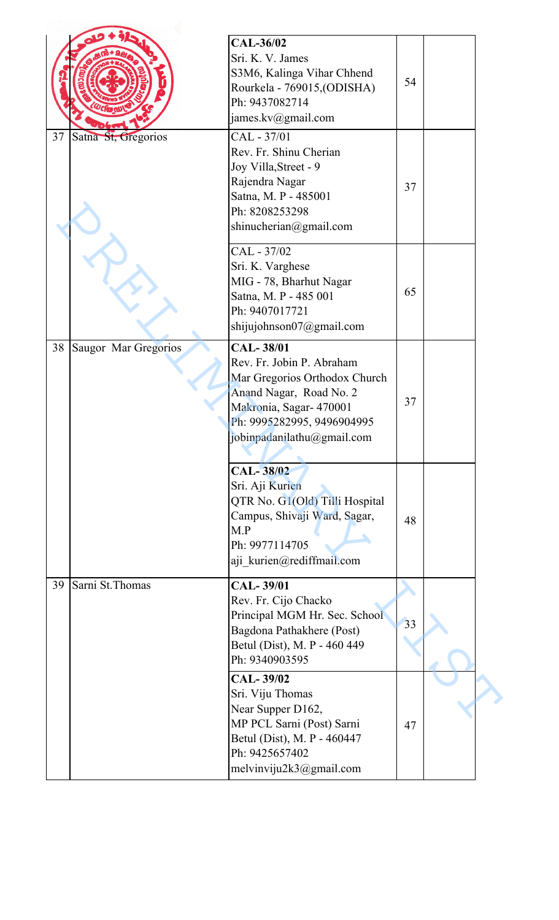| 37 | Satna St, Gregorios  | <b>CAL-36/02</b><br>Sri. K. V. James<br>S3M6, Kalinga Vihar Chhend<br>Rourkela - 769015, (ODISHA)<br>Ph: 9437082714<br>james.kv@gmail.com<br>CAL - 37/01<br>Rev. Fr. Shinu Cherian<br>Joy Villa, Street - 9<br>Rajendra Nagar<br>Satna, M. P - 485001<br>Ph: 8208253298<br>shinucherian@gmail.com | 54<br>37 |  |
|----|----------------------|---------------------------------------------------------------------------------------------------------------------------------------------------------------------------------------------------------------------------------------------------------------------------------------------------|----------|--|
|    |                      | CAL - 37/02<br>Sri. K. Varghese<br>MIG - 78, Bharhut Nagar<br>Satna, M. P - 485 001<br>Ph: 9407017721<br>shijujohnson07@gmail.com                                                                                                                                                                 | 65       |  |
| 38 | Saugor Mar Gregorios | <b>CAL-38/01</b><br>Rev. Fr. Jobin P. Abraham<br>Mar Gregorios Orthodox Church<br>Anand Nagar, Road No. 2<br>Makronia, Sagar- 470001<br>Ph: 9995282995, 9496904995<br>jobinpadanilathu@gmail.com                                                                                                  | 37       |  |
|    |                      | CAL-38/02<br>Sri. Aji Kurien<br>QTR No. G1(Old) Tilli Hospital<br>Campus, Shivaji Ward, Sagar,<br>M.P<br>Ph: 9977114705<br>aji kurien@rediffmail.com                                                                                                                                              | 48       |  |
| 39 | Sarni St. Thomas     | <b>CAL-39/01</b><br>Rev. Fr. Cijo Chacko<br>Principal MGM Hr. Sec. School<br>Bagdona Pathakhere (Post)<br>Betul (Dist), M. P - 460 449<br>Ph: 9340903595                                                                                                                                          | 33       |  |
|    |                      | <b>CAL-39/02</b><br>Sri. Viju Thomas<br>Near Supper D162,<br>MP PCL Sarni (Post) Sarni<br>Betul (Dist), M. P - 460447<br>Ph: 9425657402<br>melvinviju2k3@gmail.com                                                                                                                                | 47       |  |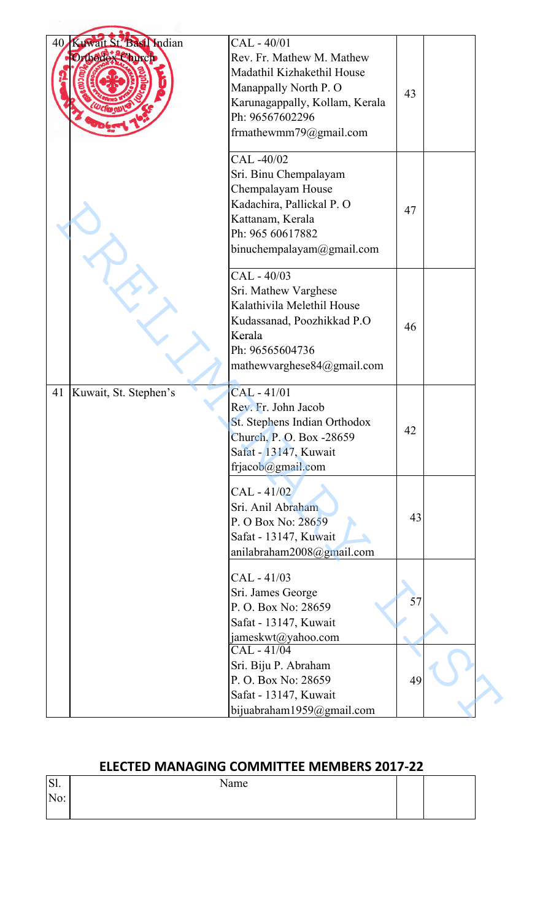| 40 | Kuwait St. Basil Indian<br>Orthodox Church | CAL - 40/01<br>Rev. Fr. Mathew M. Mathew<br>Madathil Kizhakethil House<br>Manappally North P. O<br>Karunagappally, Kollam, Kerala<br>Ph: 96567602296<br>frmathewmm79@gmail.com | 43 |  |
|----|--------------------------------------------|--------------------------------------------------------------------------------------------------------------------------------------------------------------------------------|----|--|
|    |                                            | CAL -40/02<br>Sri. Binu Chempalayam<br>Chempalayam House<br>Kadachira, Pallickal P. O<br>Kattanam, Kerala<br>Ph: 965 60617882<br>binuchempalayam@gmail.com                     | 47 |  |
|    |                                            | CAL - 40/03<br>Sri. Mathew Varghese<br>Kalathivila Melethil House<br>Kudassanad, Poozhikkad P.O<br>Kerala<br>Ph: 96565604736<br>mathewvarghese84@gmail.com                     | 46 |  |
| 41 | Kuwait, St. Stephen's                      | CAL-41/01<br>Rev. Fr. John Jacob<br>St. Stephens Indian Orthodox<br>Church, P. O. Box -28659<br>Safat - 13147, Kuwait<br>frjacob@gmail.com                                     | 42 |  |
|    |                                            | CAL - 41/02<br>Sri. Anil Abraham<br>P. O Box No: 28659<br>Safat - 13147, Kuwait<br>anilabraham2008@gmail.com                                                                   | 43 |  |
|    |                                            | CAL - 41/03<br>Sri. James George<br>P. O. Box No: 28659<br>Safat - 13147, Kuwait<br>jameskwt@yahoo.com                                                                         | 57 |  |
|    |                                            | CAL - 41/04<br>Sri. Biju P. Abraham<br>P. O. Box No: 28659<br>Safat - 13147, Kuwait<br>bijuabraham1959@gmail.com                                                               | 49 |  |

## **ELECTED MANAGING COMMITTEE MEMBERS 2017-22**

| $\cap$ 1<br>$\mathbf{L}$ | Name |  |
|--------------------------|------|--|
| 11 V .                   |      |  |
|                          |      |  |